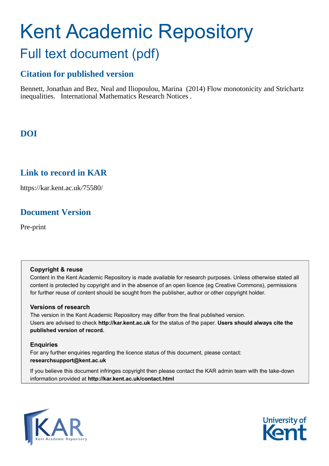# Kent Academic Repository Full text document (pdf)

## **Citation for published version**

Bennett, Jonathan and Bez, Neal and Iliopoulou, Marina (2014) Flow monotonicity and Strichartz inequalities. International Mathematics Research Notices .

# **DOI**

## **Link to record in KAR**

https://kar.kent.ac.uk/75580/

# **Document Version**

Pre-print

## **Copyright & reuse**

Content in the Kent Academic Repository is made available for research purposes. Unless otherwise stated all content is protected by copyright and in the absence of an open licence (eg Creative Commons), permissions for further reuse of content should be sought from the publisher, author or other copyright holder.

## **Versions of research**

The version in the Kent Academic Repository may differ from the final published version. Users are advised to check **http://kar.kent.ac.uk** for the status of the paper. **Users should always cite the published version of record.**

## **Enquiries**

For any further enquiries regarding the licence status of this document, please contact: **researchsupport@kent.ac.uk**

If you believe this document infringes copyright then please contact the KAR admin team with the take-down information provided at **http://kar.kent.ac.uk/contact.html**



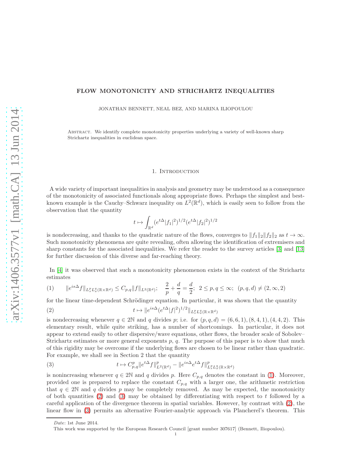#### FLOW MONOTONICITY AND STRICHARTZ INEQUALITIES

JONATHAN BENNETT, NEAL BEZ, AND MARINA ILIOPOULOU

Abstract. We identify complete monotonicity properties underlying a variety of well-known sharp Strichartz inequalities in euclidean space.

#### 1. Introduction

A wide variety of important inequalities in analysis and geometry may be understood as a consequence of the monotonicity of associated functionals along appropriate flows. Perhaps the simplest and bestknown example is the Cauchy–Schwarz inequality on  $L^2(\mathbb{R}^d)$ , which is easily seen to follow from the observation that the quantity

$$
t\mapsto \int_{\mathbb{R}^d}(e^{t\Delta}|f_1|^2)^{1/2}(e^{t\Delta}|f_2|^2)^{1/2}
$$

is nondecreasing, and thanks to the quadratic nature of the flows, converges to  $||f_1||_2||f_2||_2$  as  $t \to \infty$ . Such monotonicity phenomena are quite revealing, often allowing the identification of extremisers and sharp constants for the associated inequalities. We refer the reader to the survey articles [3] and [13] for further discussion of this diverse and far-reaching theory.

In [4] it was observed that such a monotonicity phenomenon exists in the context of the Strichartz estimates

$$
(1) \t||e^{is\Delta}f||_{L_s^p L_x^q(\mathbb{R}\times\mathbb{R}^d)} \le C_{p,q}||f||_{L^2(\mathbb{R}^d)}; \quad \frac{2}{p} + \frac{d}{q} = \frac{d}{2}; \ \ 2 \le p, q \le \infty; \ \ (p,q,d) \ne (2,\infty,2)
$$

for the linear time-dependent Schrödinger equation. In particular, it was shown that the quantity

(2) 
$$
t \mapsto \|e^{is\Delta}(e^{t\Delta}|f|^2)^{1/2}\|_{L_s^p L_x^q(\mathbb{R} \times \mathbb{R}^d)}
$$

is nondecreasing whenever  $q \in 2\mathbb{N}$  and q divides p; i.e. for  $(p, q, d) = (6, 6, 1), (8, 4, 1), (4, 4, 2)$ . This elementary result, while quite striking, has a number of shortcomings. In particular, it does not appear to extend easily to other dispersive/wave equations, other flows, the broader scale of Sobolev– Strichartz estimates or more general exponents  $p, q$ . The purpose of this paper is to show that much of this rigidity may be overcome if the underlying flows are chosen to be linear rather than quadratic. For example, we shall see in Section 2 that the quantity

(3) 
$$
t \mapsto C_{p,q}^p \|e^{t\Delta}f\|_{L^2(\mathbb{R}^d)}^p - \|e^{is\Delta}e^{t\Delta}f\|_{L^p_sL^q_x(\mathbb{R}\times\mathbb{R}^d)}^p
$$

is nonincreasing whenever  $q \in 2\mathbb{N}$  and q divides p. Here  $C_{p,q}$  denotes the constant in (1). Moreover, provided one is prepared to replace the constant  $C_{p,q}$  with a larger one, the arithmetic restriction that  $q \in 2\mathbb{N}$  and q divides p may be completely removed. As may be expected, the monotonicity of both quantities (2) and (3) may be obtained by differentiating with respect to t followed by a careful application of the divergence theorem in spatial variables. However, by contrast with (2), the linear flow in (3) permits an alternative Fourier-analytic approach via Plancherel's theorem. This

Date: 1st June 2014.

This work was supported by the European Research Council [grant number 307617] (Bennett, Iliopoulou).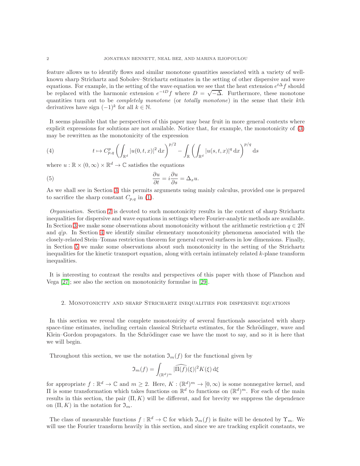feature allows us to identify flows and similar monotone quantities associated with a variety of wellknown sharp Strichartz and Sobolev–Strichartz estimates in the setting of other dispersive and wave equations. For example, in the setting of the wave equation we see that the heat extension  $e^{t\Delta} f$  should be replaced with the harmonic extension  $e^{-tD}f$  where  $D = \sqrt{-\Delta}$ . Furthermore, these monotone quantities turn out to be *completely monotone* (or *totally monotone*) in the sense that their kth derivatives have sign  $(-1)^k$  for all  $k \in \mathbb{N}$ .

It seems plausible that the perspectives of this paper may bear fruit in more general contexts where explicit expressions for solutions are not available. Notice that, for example, the monotonicity of (3) may be rewritten as the monotonicity of the expression

(4) 
$$
t \mapsto C_{p,q}^p \left( \int_{\mathbb{R}^d} |u(0,t,x)|^2 dx \right)^{p/2} - \int_{\mathbb{R}} \left( \int_{\mathbb{R}^d} |u(s,t,x)|^q dx \right)^{p/q} ds
$$

where  $u : \mathbb{R} \times (0, \infty) \times \mathbb{R}^d \to \mathbb{C}$  satisfies the equations

(5) 
$$
\frac{\partial u}{\partial t} = i \frac{\partial u}{\partial s} = \Delta_x u.
$$

As we shall see in Section 3, this permits arguments using mainly calculus, provided one is prepared to sacrifice the sharp constant  $C_{p,q}$  in (1).

Organisation. Section 2 is devoted to such monotonicity results in the context of sharp Strichartz inequalities for dispersive and wave equations in settings where Fourier-analytic methods are available. In Section 3 we make some observations about monotonicity without the arithmetic restriction  $q \in 2\mathbb{N}$ and  $q|p$ . In Section 4 we identify similar elementary monotonicity phenomena associated with the closely-related Stein–Tomas restriction theorem for general curved surfaces in low dimensions. Finally, in Section 5 we make some observations about such monotonicity in the setting of the Strichartz inequalities for the kinetic transport equation, along with certain intimately related k-plane transform inequalities.

It is interesting to contrast the results and perspectives of this paper with those of Planchon and Vega [27]; see also the section on monotonicity formulae in [29].

#### 2. Monotonicity and sharp Strichartz inequalities for dispersive equations

In this section we reveal the complete monotonicity of several functionals associated with sharp space-time estimates, including certain classical Strichartz estimates, for the Schrödinger, wave and Klein–Gordon propagators. In the Schrödinger case we have the most to say, and so it is here that we will begin.

Throughout this section, we use the notation  $\mathfrak{I}_m(f)$  for the functional given by

$$
\mathfrak{I}_m(f) = \int_{(\mathbb{R}^d)^m} |\widehat{\Pi(f)}(\xi)|^2 K(\xi) d\xi
$$

for appropriate  $f : \mathbb{R}^d \to \mathbb{C}$  and  $m \geq 2$ . Here,  $K : (\mathbb{R}^d)^m \to [0, \infty)$  is some nonnegative kernel, and II is some transformation which takes functions on  $\mathbb{R}^d$  to functions on  $(\mathbb{R}^d)^m$ . For each of the main results in this section, the pair  $(\Pi, K)$  will be different, and for brevity we suppress the dependence on  $(\Pi, K)$  in the notation for  $\mathfrak{I}_m$ .

The class of measurable functions  $f : \mathbb{R}^d \to \mathbb{C}$  for which  $\mathfrak{I}_m(f)$  is finite will be denoted by  $\Upsilon_m$ . We will use the Fourier transform heavily in this section, and since we are tracking explicit constants, we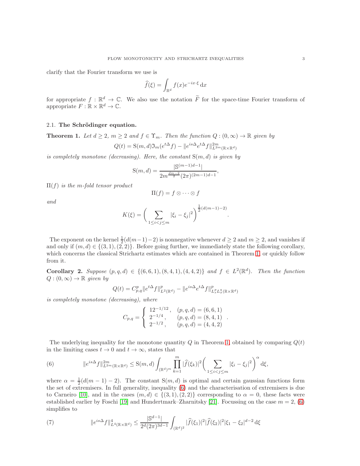clarify that the Fourier transform we use is

$$
\widehat{f}(\xi) = \int_{\mathbb{R}^d} f(x) e^{-ix \cdot \xi} dx
$$

for appropriate  $f : \mathbb{R}^d \to \mathbb{C}$ . We also use the notation  $\widetilde{F}$  for the space-time Fourier transform of appropriate  $F : \mathbb{R} \times \mathbb{R}^d \to \mathbb{C}$ .

#### 2.1. The Schrödinger equation.

**Theorem 1.** Let  $d \geq 2$ ,  $m \geq 2$  and  $f \in \Upsilon_m$ . Then the function  $Q : (0, \infty) \to \mathbb{R}$  given by

$$
Q(t) = S(m, d)\mathfrak{I}_m(e^{t\Delta}f) - ||e^{is\Delta}e^{t\Delta}f||_{L^{2m}(\mathbb{R}\times\mathbb{R}^d)}^{2m}
$$

is completely monotone (decreasing). Here, the constant  $S(m, d)$  is given by

$$
S(m,d) = \frac{|S^{(m-1)d-1}|}{2m^{\frac{dm-2}{2}}(2\pi)^{(2m-1)d-1}},
$$

 $\Pi(f)$  is the m-fold tensor product

$$
\Pi(f) = f \otimes \cdots \otimes f
$$

and

$$
K(\xi) = \bigg(\sum_{1 \le i < j \le m} |\xi_i - \xi_j|^2\bigg)^{\frac{1}{2}(d(m-1)-2)}.
$$

The exponent on the kernel  $\frac{1}{2}(d(m-1)-2)$  is nonnegative whenever  $d \geq 2$  and  $m \geq 2$ , and vanishes if and only if  $(m, d) \in \{(3, 1), (2, 2)\}\.$  Before going further, we immediately state the following corollary, which concerns the classical Strichartz estimates which are contained in Theorem 1, or quickly follow from it.

Corollary 2. Suppose  $(p, q, d) \in \{(6, 6, 1), (8, 4, 1), (4, 4, 2)\}$  and  $f \in L^2(\mathbb{R}^d)$ . Then the function  $Q:(0,\infty)\to\mathbb{R}$  given by

$$
Q(t) = C_{p,q}^p ||e^{t\Delta} f||_{L^2(\mathbb{R}^d)}^p - ||e^{is\Delta}e^{t\Delta} f||_{L^p_s L^q_x(\mathbb{R}\times\mathbb{R}^d)}^p
$$

is completely monotone (decreasing), where

$$
C_{p,q} = \begin{cases} 12^{-1/12}, & (p,q,d) = (6,6,1) \\ 2^{-1/4}, & (p,q,d) = (8,4,1) \\ 2^{-1/2}, & (p,q,d) = (4,4,2) \end{cases}.
$$

The underlying inequality for the monotone quantity  $Q$  in Theorem 1, obtained by comparing  $Q(t)$ in the limiting cases  $t \to 0$  and  $t \to \infty$ , states that

(6) 
$$
||e^{is\Delta}f||_{L^{2m}(\mathbb{R}\times\mathbb{R}^d)}^{2m} \leq S(m,d) \int_{(\mathbb{R}^d)^m} \prod_{k=1}^m |\widehat{f}(\xi_k)|^2 \bigg(\sum_{1 \leq i < j \leq m} |\xi_i - \xi_j|^2\bigg)^{\alpha} d\xi,
$$

where  $\alpha = \frac{1}{2}(d(m-1)-2)$ . The constant S $(m, d)$  is optimal and certain gaussian functions form the set of extremisers. In full generality, inequality (6) and the characterisation of extremisers is due to Carneiro [10], and in the cases  $(m, d) \in \{(3, 1), (2, 2)\}$  corresponding to  $\alpha = 0$ , these facts were established earlier by Foschi [19] and Hundertmark–Zharnitsky [21]. Focussing on the case  $m = 2, (6)$ simplifies to

(7) 
$$
||e^{is\Delta}f||_{L^4(\mathbb{R}\times\mathbb{R}^d)}^4 \leq \frac{|S^{d-1}|}{2^d(2\pi)^{3d-1}} \int_{(\mathbb{R}^d)^2} |\widehat{f}(\xi_1)|^2 |\widehat{f}(\xi_2)|^2 |\xi_1 - \xi_2|^{d-2} d\xi
$$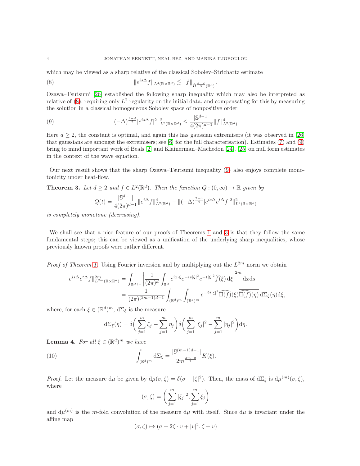which may be viewed as a sharp relative of the classical Sobolev–Strichartz estimate

(8) 
$$
\|e^{is\Delta}f\|_{L^4(\mathbb{R}\times\mathbb{R}^d)} \lesssim \|f\|_{\dot{H}^{\frac{d-2}{4}}(\mathbb{R}^d)}
$$

Ozawa–Tsutsumi [26] established the following sharp inequality which may also be interpreted as relative of  $(8)$ , requiring only  $L^2$  regularity on the initial data, and compensating for this by measuring the solution in a classical homogeneous Sobolev space of nonpositive order

.

(9) 
$$
\|(-\Delta)^{\frac{2-d}{4}}|e^{is\Delta}f|^2\|_{L^2(\mathbb{R}\times\mathbb{R}^d)}^2 \leq \frac{|\mathbb{S}^{d-1}|}{4(2\pi)^{d-1}}\|f\|_{L^2(\mathbb{R}^d)}^4.
$$

Here  $d \geq 2$ , the constant is optimal, and again this has gaussian extremisers (it was observed in [26] that gaussians are amongst the extremisers; see [6] for the full characterisation). Estimates (7) and (9) bring to mind important work of Beals [2] and Klainerman–Machedon [24], [25] on null form estimates in the context of the wave equation.

Our next result shows that the sharp Ozawa–Tsutsumi inequality (9) also enjoys complete monotonicity under heat-flow.

**Theorem 3.** Let  $d \geq 2$  and  $f \in L^2(\mathbb{R}^d)$ . Then the function  $Q: (0, \infty) \to \mathbb{R}$  given by

$$
Q(t) = \frac{|\mathbb{S}^{d-1}|}{4(2\pi)^{d-1}} \|e^{t\Delta} f\|_{L^2(\mathbb{R}^d)}^4 - \|(-\Delta)^{\frac{2-d}{4}}|e^{is\Delta}e^{t\Delta} f|^2\|_{L^2(\mathbb{R}\times\mathbb{R}^d)}^2
$$

is completely monotone (decreasing).

We shall see that a nice feature of our proofs of Theorems 1 and 3 is that they follow the same fundamental steps; this can be viewed as a unification of the underlying sharp inequalities, whose previously known proofs were rather different.

*Proof of Theorem 1.* Using Fourier inversion and by multiplying out the  $L^{2m}$  norm we obtain

$$
||e^{is\Delta}e^{t\Delta}f||_{L^{2m}(\mathbb{R}\times\mathbb{R}^d)}^{2m} = \int_{\mathbb{R}^{d+1}} \left| \frac{1}{(2\pi)^d} \int_{\mathbb{R}^d} e^{ix\cdot\xi} e^{-is|\xi|^2} e^{-t|\xi|^2} \widehat{f}(\xi) d\xi \right|^{2m} d\xi
$$
  
= 
$$
\frac{1}{(2\pi)^{(2m-1)d-1}} \int_{(\mathbb{R}^d)^m} \int_{(\mathbb{R}^d)^m} e^{-2t|\xi|^2} \widehat{\Pi(f)}(\xi) \overline{\widehat{\Pi(f)}(\eta)} d\Sigma_{\xi}(\eta) d\xi,
$$

where, for each  $\xi \in (\mathbb{R}^d)^m$ ,  $d\Sigma_{\xi}$  is the measure

$$
d\Sigma_{\xi}(\eta) = \delta \left( \sum_{j=1}^{m} \xi_j - \sum_{j=1}^{m} \eta_j \right) \delta \left( \sum_{j=1}^{m} |\xi_j|^2 - \sum_{j=1}^{m} |\eta_j|^2 \right) d\eta.
$$

**Lemma 4.** For all  $\xi \in (\mathbb{R}^d)^m$  we have

(10) 
$$
\int_{(\mathbb{R}^d)^m} d\Sigma_{\xi} = \frac{|\mathbb{S}^{(m-1)d-1}|}{2m^{\frac{dm-2}{2}}} K(\xi).
$$

*Proof.* Let the measure  $d\mu$  be given by  $d\mu(\sigma, \zeta) = \delta(\sigma - |\zeta|^2)$ . Then, the mass of  $d\Sigma_{\xi}$  is  $d\mu^{(m)}(\sigma, \zeta)$ , where

$$
(\sigma,\zeta) = \left(\sum_{j=1}^m |\xi_j|^2, \sum_{j=1}^m \xi_j\right)
$$

and  $d\mu^{(m)}$  is the m-fold convolution of the measure  $d\mu$  with itself. Since  $d\mu$  is invariant under the affine map

$$
(\sigma,\zeta) \mapsto (\sigma + 2\zeta \cdot v + |v|^2, \zeta + v)
$$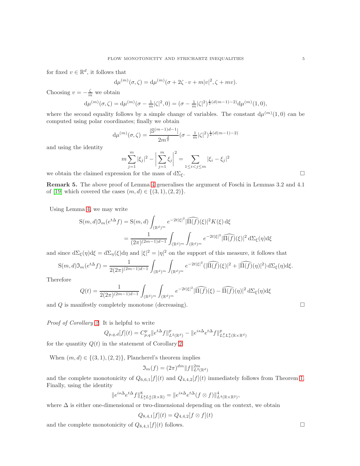for fixed  $v \in \mathbb{R}^d$ , it follows that

$$
d\mu^{(m)}(\sigma,\zeta) = d\mu^{(m)}(\sigma + 2\zeta \cdot v + m|v|^2, \zeta + mv).
$$

Choosing  $v = -\frac{\zeta}{m}$  we obtain

$$
d\mu^{(m)}(\sigma,\zeta) = d\mu^{(m)}(\sigma - \frac{1}{m}|\zeta|^2,0) = (\sigma - \frac{1}{m}|\zeta|^2)^{\frac{1}{2}(d(m-1)-2)}d\mu^{(m)}(1,0),
$$

where the second equality follows by a simple change of variables. The constant  $d\mu^{(m)}(1,0)$  can be computed using polar coordinates; finally we obtain

$$
\mathrm{d}\mu^{(m)}(\sigma,\zeta) = \frac{|\mathbb{S}^{(m-1)d-1}|}{2m^{\frac{d}{2}}}(\sigma-\tfrac{1}{m}|\zeta|^2)^{\frac{1}{2}(d(m-1)-2)}
$$

and using the identity

$$
m\sum_{j=1}^{m} |\xi_j|^2 - \left| \sum_{j=1}^{m} \xi_j \right|^2 = \sum_{1 \le i < j \le m} |\xi_i - \xi_j|^2
$$

we obtain the claimed expression for the mass of  $d\Sigma_{\xi}$ .

Remark 5. The above proof of Lemma 4 generalises the argument of Foschi in Lemmas 3.2 and 4.1 of [19] which covered the cases  $(m, d) \in \{(3, 1), (2, 2)\}.$ 

Using Lemma 4, we may write

$$
S(m,d)\mathfrak{I}_m(e^{t\Delta}f) = S(m,d)\int_{(\mathbb{R}^d)^m} e^{-2t|\xi|^2}|\widehat{\Pi(f)}(\xi)|^2 K(\xi) d\xi
$$
  
= 
$$
\frac{1}{(2\pi)^{(2m-1)d-1}}\int_{(\mathbb{R}^d)^m} \int_{(\mathbb{R}^d)^m} e^{-2t|\xi|^2}|\widehat{\Pi(f)}(\xi)|^2 d\Sigma_{\xi}(\eta) d\xi
$$

and since  $d\Sigma_{\xi}(\eta)d\xi = d\Sigma_{\eta}(\xi)d\eta$  and  $|\xi|^2 = |\eta|^2$  on the support of this measure, it follows that

$$
S(m,d)\mathfrak{I}_m(e^{t\Delta}f) = \frac{1}{2(2\pi)^{(2m-1)d-1}} \int_{(\mathbb{R}^d)^m} \int_{(\mathbb{R}^d)^m} e^{-2t|\xi|^2} (|\widehat{\Pi(f)}(\xi)|^2 + |\widehat{\Pi(f)}(\eta)|^2) d\Sigma_{\xi}(\eta) d\xi.
$$

Therefore

$$
Q(t)=\frac{1}{2(2\pi)^{(2m-1)d-1}}\int_{(\mathbb{R}^d)^m}\int_{(\mathbb{R}^d)^m}e^{-2t|\xi|^2}|\widehat{\Pi(f)}(\xi)-\widehat{\Pi(f)}(\eta)|^2\,\mathrm{d}\Sigma_\xi(\eta)\mathrm{d}\xi
$$

and  $Q$  is manifestly completely monotone (decreasing).  $\Box$ 

Proof of Corollary 2. It is helpful to write

$$
Q_{p,q,d}[f](t) = C_{p,q}^p ||e^{t\Delta} f||_{L^2(\mathbb{R}^d)}^p - ||e^{is\Delta}e^{t\Delta} f||_{L^p_s L^q_x(\mathbb{R} \times \mathbb{R}^d)}^p
$$

for the quantity  $Q(t)$  in the statement of Corollary 2.

When  $(m, d) \in \{(3, 1), (2, 2)\}\$ , Plancherel's theorem implies

$$
\mathfrak{I}_m(f) = (2\pi)^{dm} ||f||_{L^2(\mathbb{R}^d)}^{2m}
$$

and the complete monotonicity of  $Q_{6,6,1}[f](t)$  and  $Q_{4,4,2}[f](t)$  immediately follows from Theorem 1. Finally, using the identity

$$
\|e^{is\Delta}e^{t\Delta}f\|_{L_s^8L_x^4(\mathbb{R}\times\mathbb{R})}^8 = \|e^{is\Delta}e^{t\Delta}(f\otimes f)\|_{L^4(\mathbb{R}\times\mathbb{R}^2)}^4,
$$

where  $\Delta$  is either one-dimensional or two-dimensional depending on the context, we obtain

$$
Q_{8,4,1}[f](t) = Q_{4,4,2}[f \otimes f](t)
$$

and the complete monotonicity of  $Q_{8,4,1}[f](t)$  follows.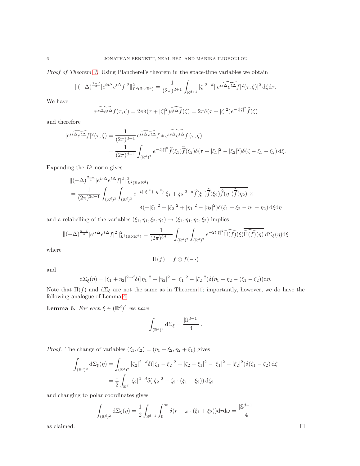Proof of Theorem 3. Using Plancherel's theorem in the space-time variables we obtain

$$
\|(-\Delta)^{\frac{2-d}{4}}|e^{is\Delta}e^{t\Delta}f|^2\|_{L^2(\mathbb{R}\times\mathbb{R}^d)}^2 = \frac{1}{(2\pi)^{d+1}}\int_{\mathbb{R}^{d+1}}|\zeta|^{2-d}||e^{is\Delta}t^{\Delta}f|^2(\tau,\zeta)|^2\,\mathrm{d}\zeta\mathrm{d}\tau.
$$

We have

$$
\widetilde{e^{is\Delta}e^{t\Delta}}f(\tau,\zeta) = 2\pi\delta(\tau+|\zeta|^2)\widehat{e^{t\Delta}f}(\zeta) = 2\pi\delta(\tau+|\zeta|^2)e^{-t|\zeta|^2}\widehat{f}(\zeta)
$$

and therefore

$$
|e^{i\widehat{\delta\Delta}t\Delta}f|^{2}(\tau,\zeta) = \frac{1}{(2\pi)^{d+1}}e^{i\widehat{\delta\Delta}t\Delta}f * \widetilde{e^{i\widehat{\delta\Delta}t\Delta}f}(\tau,\zeta)
$$
  

$$
= \frac{1}{(2\pi)^{d-1}}\int_{(\mathbb{R}^{d})^{2}}e^{-t|\xi|^{2}}\widehat{f}(\xi_{1})\widehat{\overline{f}}(\xi_{2})\delta(\tau+|\xi_{1}|^{2}-|\xi_{2}|^{2})\delta(\zeta-\xi_{1}-\xi_{2})\,\mathrm{d}\xi.
$$

Expanding the  $L^2$  norm gives

$$
\begin{split} \|( -\Delta)^{\frac{2-d}{4}} |e^{is\Delta} e^{t\Delta} f|^2 \|_{L^2(\mathbb{R} \times \mathbb{R}^d)}^2 \\ &= \frac{1}{(2\pi)^{3d-1}} \int_{(\mathbb{R}^d)^2} \int_{(\mathbb{R}^d)^2} e^{-t(|\xi|^2 + |\eta|^2)} |\xi_1 + \xi_2|^{2-d} \widehat{f}(\xi_1) \widehat{\overline{f}}(\xi_2) \overline{\widehat{f}(\eta_1) \widehat{\overline{f}}(\eta_2)} \times \\ &\delta(-|\xi_1|^2 + |\xi_2|^2 + |\eta_1|^2 - |\eta_2|^2) \delta(\xi_1 + \xi_2 - \eta_1 - \eta_2) \, d\xi d\eta \end{split}
$$

and a relabelling of the variables  $(\xi_1, \eta_1, \xi_2, \eta_2) \rightarrow (\xi_1, \eta_1, \eta_2, \xi_2)$  implies

$$
\|(-\Delta)^{\frac{2-d}{4}}|e^{is\Delta}e^{t\Delta}f|^2\|_{L^2(\mathbb{R}\times\mathbb{R}^d)}^2 = \frac{1}{(2\pi)^{3d-1}}\int_{(\mathbb{R}^d)^2}\int_{(\mathbb{R}^d)^2}e^{-2t|\xi|^2}\widehat{\Pi(f)}(\xi)\overline{\widehat{\Pi(f)}(\eta)}\,\mathrm{d}\Sigma_{\xi}(\eta)\mathrm{d}\xi
$$

where

$$
\Pi(f) = f \otimes f(-\cdot)
$$

and

$$
d\Sigma_{\xi}(\eta) = |\xi_1 + \eta_2|^{2-d} \delta(|\eta_1|^2 + |\eta_2|^2 - |\xi_1|^2 - |\xi_2|^2) \delta(\eta_1 - \eta_2 - (\xi_1 - \xi_2)) d\eta.
$$

Note that  $\Pi(f)$  and  $d\Sigma_{\xi}$  are not the same as in Theorem 1; importantly, however, we do have the following analogue of Lemma 4.

**Lemma 6.** For each  $\xi \in (\mathbb{R}^d)^2$  we have

$$
\int_{(\mathbb{R}^d)^2} \mathrm{d} \Sigma_\xi = \frac{|\mathbb{S}^{d-1}|}{4}\,.
$$

*Proof.* The change of variables  $(\zeta_1, \zeta_2) = (\eta_1 + \xi_2, \eta_2 + \xi_1)$  gives

$$
\int_{(\mathbb{R}^d)^2} d\Sigma_{\xi}(\eta) = \int_{(\mathbb{R}^d)^2} |\zeta_2|^{2-d} \delta(|\zeta_1 - \xi_2|^2 + |\zeta_2 - \xi_1|^2 - |\xi_1|^2 - |\xi_2|^2) \delta(\zeta_1 - \zeta_2) d\zeta
$$

$$
= \frac{1}{2} \int_{\mathbb{R}^d} |\zeta_2|^{2-d} \delta(|\zeta_2|^2 - \zeta_2 \cdot (\xi_1 + \xi_2)) d\zeta_2
$$

and changing to polar coordinates gives

$$
\int_{(\mathbb{R}^d)^2} d\Sigma_{\xi}(\eta) = \frac{1}{2} \int_{\mathbb{S}^{d-1}} \int_0^{\infty} \delta(r - \omega \cdot (\xi_1 + \xi_2)) dr d\omega = \frac{|\mathbb{S}^{d-1}|}{4}
$$

as claimed.  $\hfill \Box$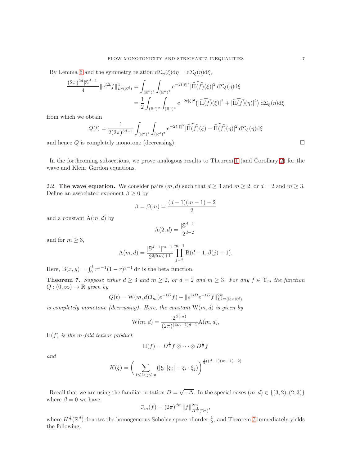By Lemma 6 and the symmetry relation  $d\Sigma_{\eta}(\xi)d\eta = d\Sigma_{\xi}(\eta)d\xi$ ,

$$
\frac{(2\pi)^{2d}|\mathbb{S}^{d-1}|}{4} \|e^{t\Delta}f\|_{L^{2}(\mathbb{R}^{d})}^{4} = \int_{(\mathbb{R}^{d})^{2}} \int_{(\mathbb{R}^{d})^{2}} e^{-2t|\xi|^{2}} |\widehat{\Pi(f)}(\xi)|^{2} d\Sigma_{\xi}(\eta) d\xi
$$

$$
= \frac{1}{2} \int_{(\mathbb{R}^{d})^{2}} \int_{(\mathbb{R}^{d})^{2}} e^{-2t|\xi|^{2}} (|\widehat{\Pi(f)}(\xi)|^{2} + |\widehat{\Pi(f)}(\eta)|^{2}) d\Sigma_{\xi}(\eta) d\xi
$$

from which we obtain

$$
Q(t) = \frac{1}{2(2\pi)^{3d-1}} \int_{(\mathbb{R}^d)^2} \int_{(\mathbb{R}^d)^2} e^{-2t|\xi|^2} |\widehat{\Pi(f)}(\xi) - \widehat{\Pi(f)}(\eta)|^2 d\Sigma_{\xi}(\eta) d\xi
$$

and hence  $Q$  is completely monotone (decreasing).

In the forthcoming subsections, we prove analogous results to Theorem 1 (and Corollary 2) for the wave and Klein–Gordon equations.

2.2. The wave equation. We consider pairs  $(m, d)$  such that  $d \geq 3$  and  $m \geq 2$ , or  $d = 2$  and  $m \geq 3$ . Define an associated exponent  $\beta \geq 0$  by

$$
\beta = \beta(m) = \frac{(d-1)(m-1) - 2}{2}
$$

and a constant  $A(m, d)$  by

$$
\mathbf{A}(2,d)=\frac{|\mathbb{S}^{d-1}|}{2^{d-2}}
$$

and for  $m \geq 3$ ,

$$
A(m, d) = \frac{|\mathbb{S}^{d-1}|^{m-1}}{2^{2\beta(m)+1}} \prod_{j=2}^{m-1} B(d-1, \beta(j)+1).
$$

Here,  $B(x, y) = \int_0^1 r^{x-1} (1 - r)^{y-1} dr$  is the beta function.

**Theorem 7.** Suppose either  $d \geq 3$  and  $m \geq 2$ , or  $d = 2$  and  $m \geq 3$ . For any  $f \in \Upsilon_m$  the function  $Q:(0,\infty)\to\mathbb{R}$  given by

$$
Q(t) = W(m, d)\mathfrak{I}_m(e^{-tD}f) - ||e^{isD}e^{-tD}f||_{L^{2m}(\mathbb{R}\times\mathbb{R}^d)}^{2m}
$$

is completely monotone (decreasing). Here, the constant  $W(m, d)$  is given by

$$
W(m, d) = \frac{2^{\beta(m)}}{(2\pi)^{(2m-1)d-1}} A(m, d),
$$

 $\Pi(f)$  is the m-fold tensor product

$$
\Pi(f) = D^{\frac{1}{2}}f \otimes \cdots \otimes D^{\frac{1}{2}}f
$$

and

$$
K(\xi) = \left(\sum_{1 \le i < j \le m} (|\xi_i| |\xi_j| - \xi_i \cdot \xi_j)\right)^{\frac{1}{2}((d-1)(m-1)-2)}
$$

Recall that we are using the familiar notation  $D = \sqrt{-\Delta}$ . In the special cases  $(m, d) \in \{(3, 2), (2, 3)\}$ where  $\beta = 0$  we have

$$
\mathfrak{I}_m(f) = (2\pi)^{dm} ||f||_{\dot{H}^{\frac{1}{2}}(\mathbb{R}^d)}^{2m},
$$

where  $\dot{H}^{\frac{1}{2}}(\mathbb{R}^d)$  denotes the homogeneous Sobolev space of order  $\frac{1}{2}$ , and Theorem 7 immediately yields the following.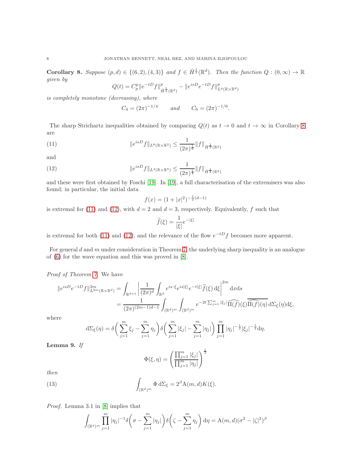**Corollary 8.** Suppose  $(p,d) \in \{(6,2), (4,3)\}$  and  $f \in \dot{H}^{\frac{1}{2}}(\mathbb{R}^d)$ . Then the function  $Q : (0,\infty) \to \mathbb{R}$ given by

$$
Q(t) = C_p^p ||e^{-tD}f||_{\dot{H}^{\frac{1}{2}}(\mathbb{R}^d)}^p - ||e^{isD}e^{-tD}f||_{L^p(\mathbb{R}\times\mathbb{R}^d)}^p
$$

is completely monotone (decreasing), where

$$
C_4 = (2\pi)^{-1/4}
$$
 and  $C_6 = (2\pi)^{-1/6}$ .

The sharp Strichartz inequalities obtained by comparing  $Q(t)$  as  $t \to 0$  and  $t \to \infty$  in Corollary 8 are

(11) 
$$
\|e^{isD}f\|_{L^6(\mathbb{R}\times\mathbb{R}^2)} \leq \frac{1}{(2\pi)^{\frac{1}{6}}}\|f\|_{\dot{H}^{\frac{1}{2}}(\mathbb{R}^2)}
$$

and

(12) 
$$
\|e^{isD}f\|_{L^4(\mathbb{R}\times\mathbb{R}^3)} \leq \frac{1}{(2\pi)^{\frac{1}{4}}}\|f\|_{\dot{H}^{\frac{1}{2}}(\mathbb{R}^3)}
$$

and these were first obtained by Foschi [19]. In [19], a full characterisation of the extremisers was also found; in particular, the initial data

$$
f(x) = (1 + |x|^2)^{-\frac{1}{2}(d-1)}
$$

is extremal for (11) and (12), with  $d = 2$  and  $d = 3$ , respectively. Equivalently, f such that

$$
\widehat{f}(\xi) = \frac{1}{|\xi|} e^{-|\xi|}
$$

is extremal for both (11) and (12), and the relevance of the flow  $e^{-tD}f$  becomes more apparent.

For general  $d$  and  $m$  under consideration in Theorem 7, the underlying sharp inequality is an analogue of (6) for the wave equation and this was proved in [8].

Proof of Theorem 7. We have

$$
\begin{split} \|e^{isD}e^{-tD}f\|_{L^{2m}(\mathbb{R}\times\mathbb{R}^d)}^{2m} &= \int_{\mathbb{R}^{d+1}} \left| \frac{1}{(2\pi)^d} \int_{\mathbb{R}^d} e^{ix\cdot\xi} e^{is|\xi|} e^{-t|\xi|} \widehat{f}(\xi) \, \mathrm{d}\xi \right|^{2m} \mathrm{d}x \mathrm{d}s \\ &= \frac{1}{(2\pi)^{(2m-1)d-1}} \int_{(\mathbb{R}^d)^m} \int_{(\mathbb{R}^d)^m} e^{-2t\sum_{j=1}^m |\xi_j|} \widehat{\Pi(f)}(\xi) \overline{\widehat{\Pi(f)}(\eta)} \, \mathrm{d}\Sigma_{\xi}(\eta) \mathrm{d}\xi, \end{split}
$$

where

$$
d\Sigma_{\xi}(\eta) = \delta \left( \sum_{j=1}^{m} \xi_j - \sum_{j=1}^{m} \eta_j \right) \delta \left( \sum_{j=1}^{m} |\xi_j| - \sum_{j=1}^{m} |\eta_j| \right) \prod_{j=1}^{m} |\eta_j|^{-\frac{1}{2}} |\xi_j|^{-\frac{1}{2}} d\eta.
$$

Lemma 9. If

$$
\Phi(\xi, \eta) = \left(\frac{\prod_{j=1}^m |\xi_j|}{\prod_{j=1}^m |\eta_j|}\right)^{\frac{1}{2}}
$$

then

(13) 
$$
\int_{(\mathbb{R}^d)^m} \Phi \, d\Sigma_{\xi} = 2^{\beta} A(m, d) K(\xi).
$$

Proof. Lemma 3.1 in [8] implies that

$$
\int_{(\mathbb{R}^d)^m} \prod_{j=1}^m |\eta_j|^{-1} \delta\left(\sigma - \sum_{j=1}^m |\eta_j|\right) \delta\left(\zeta - \sum_{j=1}^m \eta_j\right) d\eta = A(m, d)(\sigma^2 - |\zeta|^2)^{\beta}
$$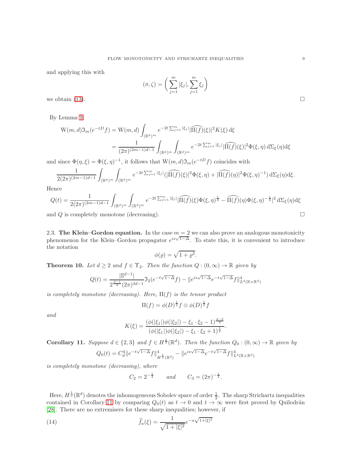and applying this with

 $(\sigma, \zeta) = \left(\sum_{m=1}^{m} \zeta_m\right)^{m}$  $\sum_{j=1}^{m} |\xi_j|, \sum_{j=1}^{m}$  $j=1$  $\xi_j$  $\overline{ }$ 

we obtain (13).

By Lemma 9,

$$
W(m,d)\mathfrak{I}_m(e^{-tD}f) = W(m,d)\int_{(\mathbb{R}^d)^m} e^{-2t\sum_{j=1}^m|\xi_j|}|\widehat{\Pi(f)}(\xi)|^2 K(\xi) d\xi
$$
  
= 
$$
\frac{1}{(2\pi)^{(2m-1)d-1}}\int_{(\mathbb{R}^d)^m}\int_{(\mathbb{R}^d)^m} e^{-2t\sum_{j=1}^m|\xi_j|}|\widehat{\Pi(f)}(\xi)|^2 \Phi(\xi,\eta) d\Sigma_{\xi}(\eta) d\xi
$$

and since  $\Phi(\eta, \xi) = \Phi(\xi, \eta)^{-1}$ , it follows that  $W(m, d)\mathfrak{I}_m(e^{-tD}f)$  coincides with

$$
\frac{1}{2(2\pi)^{(2m-1)d-1}}\int_{(\mathbb{R}^d)^m}\int_{(\mathbb{R}^d)^m}e^{-2t\sum_{j=1}^m|\xi_j|}(|\widehat{\Pi(f)}(\xi)|^2\Phi(\xi,\eta)+|\widehat{\Pi(f)}(\eta)|^2\Phi(\xi,\eta)^{-1})\,\mathrm{d}\Sigma_{\xi}(\eta)\mathrm{d}\xi.
$$

Hence

$$
Q(t) = \frac{1}{2(2\pi)^{(2m-1)d-1}} \int_{(\mathbb{R}^d)^m} \int_{(\mathbb{R}^d)^m} e^{-2t \sum_{j=1}^m |\xi_j|} |\widehat{\Pi(f)}(\xi) \Phi(\xi, \eta)|^{\frac{1}{2}} - \widehat{\Pi(f)}(\eta) \Phi(\xi, \eta)^{-\frac{1}{2}}|^2 d\Sigma_{\xi}(\eta) d\xi
$$

and  $Q$  is completely monotone (decreasing).

2.3. The Klein–Gordon equation. In the case  $m = 2$  we can also prove an analogous monotonicity phenomenon for the Klein–Gordon propagator  $e^{is\sqrt{1-\Delta}}$ . To state this, it is convenient to introduce the notation

$$
\phi(\varrho) = \sqrt{1 + \varrho^2}.
$$

**Theorem 10.** Let  $d \geq 2$  and  $f \in \Upsilon_2$ . Then the function  $Q : (0, \infty) \to \mathbb{R}$  given by

$$
Q(t) = \frac{|\mathbb{S}^{d-1}|}{2^{\frac{d-1}{2}} (2\pi)^{3d-1}} \mathfrak{I}_2(e^{-t\sqrt{1-\Delta}}f) - \|e^{is\sqrt{1-\Delta}}e^{-t\sqrt{1-\Delta}}f\|_{L^4(\mathbb{R}\times\mathbb{R}^d)}^4
$$

is completely monotone (decreasing). Here,  $\Pi(f)$  is the tensor product

$$
\Pi(f) = \phi(D)^{\frac{1}{2}} f \otimes \phi(D)^{\frac{1}{2}} f
$$

and

$$
K(\xi) = \frac{(\phi(|\xi_1|)\phi(|\xi_2|) - \xi_1 \cdot \xi_2 - 1)^{\frac{d-2}{2}}}{(\phi(|\xi_1|)\phi(|\xi_2|) - \xi_1 \cdot \xi_2 + 1)^{\frac{1}{2}}}.
$$

**Corollary 11.** Suppose  $d \in \{2,3\}$  and  $f \in H^{\frac{1}{2}}(\mathbb{R}^d)$ . Then the function  $Q_0 : (0,\infty) \to \mathbb{R}$  given by

$$
Q_0(t) = C_d^4 \|e^{-t\sqrt{1-\Delta}}f\|_{H^{\frac{1}{2}}(\mathbb{R}^d)}^4 - \|e^{is\sqrt{1-\Delta}}e^{-t\sqrt{1-\Delta}}f\|_{L^4(\mathbb{R}\times\mathbb{R}^d)}^4
$$

is completely monotone (decreasing), where

$$
C_2 = 2^{-\frac{1}{4}}
$$
 and  $C_3 = (2\pi)^{-\frac{1}{4}}$ .

Here,  $H^{\frac{1}{2}}(\mathbb{R}^d)$  denotes the inhomogeneous Sobolev space of order  $\frac{1}{2}$ . The sharp Strichartz inequalities contained in Corollary 11 by comparing  $Q_0(t)$  as  $t \to 0$  and  $t \to \infty$  were first proved by Quilodrán [28]. There are no extremisers for these sharp inequalities; however, if

(14) 
$$
\widehat{f}_a(\xi) = \frac{1}{\sqrt{1+|\xi|^2}} e^{-a\sqrt{1+|\xi|^2}}
$$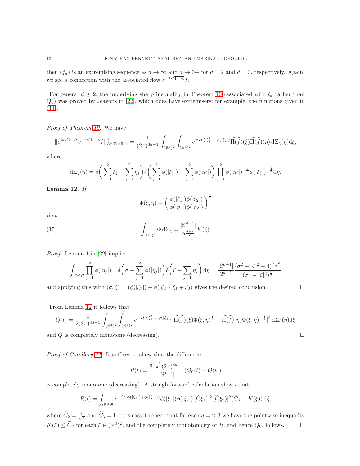then  $(f_a)$  is an extremising sequence as  $a \to \infty$  and  $a \to 0+$  for  $d=2$  and  $d=3$ , respectively. Again, we see a connection with the associated flow  $e^{-t\sqrt{1-\Delta}}f$ .

For general  $d \geq 2$ , the underlying sharp inequality in Theorem 10 (associated with Q rather than  $Q_0$ ) was proved by Jeavons in [22], which does have extremisers; for example, the functions given in  $(14).$ 

Proof of Theorem 10. We have

$$
\|e^{is\sqrt{1-\Delta}}e^{-t\sqrt{1-\Delta}}f\|_{L^4(\mathbb{R}\times\mathbb{R}^d)}^4=\frac{1}{(2\pi)^{3d-1}}\int_{(\mathbb{R}^d)^2}\int_{(\mathbb{R}^d)^2}e^{-2t\sum_{j=1}^2\phi(|\xi_j|)}\widehat{\Pi(f)}(\xi)\overline{\widehat{\Pi(f)}(\eta)}\,\mathrm{d}\Sigma_\xi(\eta)\mathrm{d}\xi,
$$

where

$$
d\Sigma_{\xi}(\eta) = \delta \left( \sum_{j=1}^{2} \xi_j - \sum_{j=1}^{2} \eta_j \right) \delta \left( \sum_{j=1}^{2} \phi(|\xi_j|) - \sum_{j=1}^{2} \phi(|\eta_j|) \right) \prod_{j=1}^{2} \phi(|\eta_j|)^{-\frac{1}{2}} \phi(|\xi_j|)^{-\frac{1}{2}} d\eta.
$$

Lemma 12. If

$$
\Phi(\xi, \eta) = \left(\frac{\phi(|\xi_1|)\phi(|\xi_2|)}{\phi(|\eta_1|)\phi(|\eta_2|)}\right)^{\frac{1}{2}}
$$

then

(15) 
$$
\int_{(\mathbb{R}^d)^2} \Phi \, d\Sigma_{\xi} = \frac{|\mathbb{S}^{d-1}|}{2^{\frac{d-1}{2}}} K(\xi).
$$

Proof. Lemma 1 in [22] implies

$$
\int_{(\mathbb{R}^d)^2} \prod_{j=1}^2 \phi(|\eta_j|)^{-1} \delta\left(\sigma - \sum_{j=1}^2 \phi(|\eta_j|)\right) \delta\left(\zeta - \sum_{j=1}^2 \eta_j\right) d\eta = \frac{|\mathbb{S}^{d-1}|}{2^{d-2}} \frac{(\sigma^2 - |\zeta|^2 - 4)^{\frac{d-2}{2}}}{(\sigma^2 - |\zeta|^2)^{\frac{1}{2}}}
$$

and applying this with  $(\sigma, \zeta) = (\phi(|\xi_1|) + \phi(|\xi_2|), \xi_1 + \xi_2)$  gives the desired conclusion.

From Lemma 12 it follows that

$$
Q(t) = \frac{1}{2(2\pi)^{3d-1}} \int_{(\mathbb{R}^d)^2} \int_{(\mathbb{R}^d)^2} e^{-2t \sum_{j=1}^2 \phi(|\xi_j|)} |\widehat{\Pi(f)}(\xi) \Phi(\xi, \eta)^{\frac{1}{2}} - \widehat{\Pi(f)}(\eta) \Phi(\xi, \eta)^{-\frac{1}{2}}|^2 d\Sigma_{\xi}(\eta) d\xi
$$

and  $Q$  is completely monotone (decreasing).

Proof of Corollary 11. It suffices to show that the difference

$$
R(t) = \frac{2^{\frac{d-1}{2}} (2\pi)^{3d-1}}{|\mathbb{S}^{d-1}|} (Q_0(t) - Q(t))
$$

is completely monotone (decreasing). A straightforward calculation shows that

$$
R(t) = \int_{(\mathbb{R}^d)^2} e^{-2t(\phi(|\xi_1|) + \phi(|\xi_2|))} \phi(|\xi_1|) \phi(|\xi_2|) |\widehat{f}(\xi_1)|^2 |\widehat{f}(\xi_2)|^2 (\widetilde{C}_d - K(\xi)) d\xi,
$$

where  $\widetilde{C}_2 = \frac{1}{\sqrt{2}}$  $\frac{1}{2}$  and  $C_3 = 1$ . It is easy to check that for each  $d = 2, 3$  we have the pointwise inequality  $K(\xi) \leq \widetilde{C}_d$  for each  $\xi \in (\mathbb{R}^d)^2$ , and the completely monotonicity of R, and hence  $Q_0$ , follows.  $\Box$ 

$$
f_{\rm{max}}
$$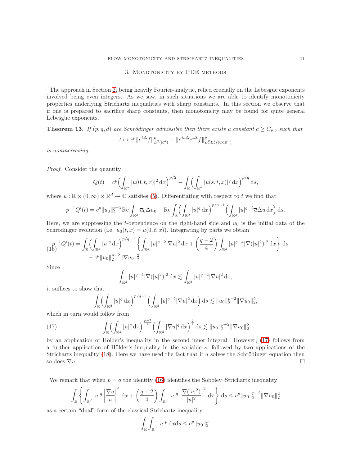#### 3. Monotonicity by PDE methods

The approach in Section 2, being heavily Fourier-analytic, relied crucially on the Lebesgue exponents involved being even integers. As we saw, in such situations we are able to identify monotonicity properties underlying Strichartz inequalities with sharp constants. In this section we observe that if one is prepared to sacrifice sharp constants, then monotonicity may be found for quite general Lebesgue exponents.

**Theorem 13.** If  $(p, q, d)$  are Schrödinger admissible then there exists a constant  $c \geq C_{p,q}$  such that

$$
t \mapsto c^p \|e^{t\Delta}f\|_{L^2(\mathbb{R}^d)}^p - \|e^{is\Delta}e^{t\Delta}f\|_{L^p_sL^q_x(\mathbb{R}\times\mathbb{R}^d)}^p
$$

is nonincreasing.

Proof. Consider the quantity

$$
Q(t) = c^{p} \left( \int_{\mathbb{R}^{d}} |u(0, t, x)|^{2} dx \right)^{p/2} - \int_{\mathbb{R}} \left( \int_{\mathbb{R}^{d}} |u(s, t, x)|^{q} dx \right)^{p/q} ds,
$$

where  $u : \mathbb{R} \times (0, \infty) \times \mathbb{R}^d \to \mathbb{C}$  satisfies (5). Differentiating with respect to t we find that

$$
p^{-1}Q'(t) = c^p \|u_0\|_2^{p-2} \text{Re} \int_{\mathbb{R}^d} \overline{u}_0 \Delta u_0 - \text{Re} \int_{\mathbb{R}} \left( \int_{\mathbb{R}^d} |u|^q \, dx \right)^{p/q-1} \left( \int_{\mathbb{R}^d} |u|^{q-2} \overline{u} \Delta u \, dx \right) ds.
$$

Here, we are suppressing the t-dependence on the right-hand side and  $u_0$  is the initial data of the Schrödinger evolution (i.e.  $u_0(t, x) = u(0, t, x)$ ). Integrating by parts we obtain

$$
\begin{aligned} \n\int_{\mathbb{R}^d} p^{-1} Q'(t) &= \int_{\mathbb{R}} \left( \int_{\mathbb{R}^d} |u|^q \, \mathrm{d}x \right)^{p/q-1} \left\{ \int_{\mathbb{R}^d} |u|^{q-2} |\nabla u|^2 \, \mathrm{d}x + \left( \frac{q-2}{4} \right) \int_{\mathbb{R}^d} |u|^{q-4} |\nabla (|u|^2)|^2 \, \mathrm{d}x \right\} \, \mathrm{d}s \\ \n&- c^p \|u_0\|_2^{p-2} \|\nabla u_0\|_2^2 \n\end{aligned}
$$

Since

$$
\int_{\mathbb{R}^d} |u|^{q-4} |\nabla (|u|^2)|^2 \, \mathrm{d}x \lesssim \int_{\mathbb{R}^d} |u|^{q-2} |\nabla u|^2 \, \mathrm{d}x,
$$

it suffices to show that

$$
\int_{\mathbb{R}} \left( \int_{\mathbb{R}^d} |u|^q \, \mathrm{d}x \right)^{p/q-1} \left( \int_{\mathbb{R}^d} |u|^{q-2} |\nabla u|^2 \, \mathrm{d}x \right) \mathrm{d}s \lesssim \|u_0\|_2^{p-2} \|\nabla u_0\|_2^2,
$$

which in turn would follow from

(17) 
$$
\int_{\mathbb{R}} \left( \int_{\mathbb{R}^d} |u|^q \, dx \right)^{\frac{p-2}{q}} \left( \int_{\mathbb{R}^d} |\nabla u|^q \, dx \right)^{\frac{2}{q}} \, ds \lesssim \|u_0\|_2^{p-2} \|\nabla u_0\|_2^2
$$

by an application of Hölder's inequality in the second inner integral. However,  $(17)$  follows from a further application of Hölder's inequality in the variable  $s$ , followed by two applications of the Strichartz inequality  $(18)$ . Here we have used the fact that if u solves the Schrödinger equation then so does  $\nabla u$ .

We remark that when  $p = q$  the identity (16) identifies the Sobolev–Strichartz inequality

$$
\int_{\mathbb{R}} \left\{ \int_{\mathbb{R}^d} |u|^q \left| \frac{\nabla u}{u} \right|^2 dx + \left( \frac{q-2}{4} \right) \int_{\mathbb{R}^d} |u|^q \left| \frac{\nabla (|u|^2)}{|u|^2} \right|^2 dx \right\} ds \leq c^p \|u_0\|_2^{p-2} \|\nabla u_0\|_2^2
$$

as a certain "dual" form of the classical Strichartz inequality

$$
\int_{\mathbb{R}} \int_{\mathbb{R}^d} |u|^p \, \mathrm{d}x \mathrm{d}s \le c^p \|u_0\|_2^p.
$$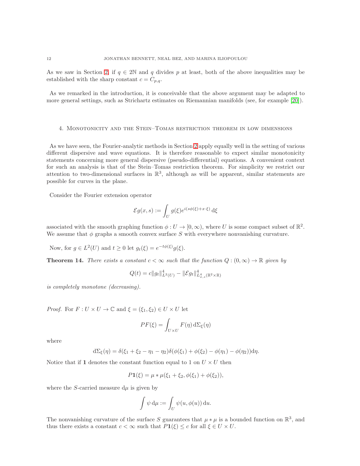As we saw in Section 2, if  $q \in 2\mathbb{N}$  and q divides p at least, both of the above inequalities may be established with the sharp constant  $c = C_{p,q}$ .

As we remarked in the introduction, it is conceivable that the above argument may be adapted to more general settings, such as Strichartz estimates on Riemannian manifolds (see, for example [20]).

#### 4. Monotonicity and the Stein–Tomas restriction theorem in low dimensions

As we have seen, the Fourier-analytic methods in Section 2 apply equally well in the setting of various different dispersive and wave equations. It is therefore reasonable to expect similar monotonicity statements concerning more general dispersive (pseudo-differential) equations. A convenient context for such an analysis is that of the Stein–Tomas restriction theorem. For simplicity we restrict our attention to two-dimensional surfaces in  $\mathbb{R}^3$ , although as will be apparent, similar statements are possible for curves in the plane.

Consider the Fourier extension operator

$$
\mathcal{E}g(x,s) := \int_U g(\xi) e^{i(s\phi(\xi) + x \cdot \xi)} \,\mathrm{d}\xi
$$

associated with the smooth graphing function  $\phi: U \to [0, \infty)$ , where U is some compact subset of  $\mathbb{R}^2$ . We assume that  $\phi$  graphs a smooth convex surface S with everywhere nonvanishing curvature.

Now, for  $g \in L^2(U)$  and  $t \ge 0$  let  $g_t(\xi) = e^{-t\phi(\xi)}g(\xi)$ .

**Theorem 14.** There exists a constant  $c < \infty$  such that the function  $Q : (0, \infty) \to \mathbb{R}$  given by

$$
Q(t) = c||g_t||_{L^2(U)}^4 - ||\mathcal{E}g_t||_{L^4_{x,s}(\mathbb{R}^2 \times \mathbb{R})}^4
$$

is completely monotone (decreasing).

*Proof.* For  $F: U \times U \to \mathbb{C}$  and  $\xi = (\xi_1, \xi_2) \in U \times U$  let

$$
PF(\xi) = \int_{U \times U} F(\eta) \, d\Sigma_{\xi}(\eta)
$$

where

$$
d\Sigma_{\xi}(\eta) = \delta(\xi_1 + \xi_2 - \eta_1 - \eta_2)\delta(\phi(\xi_1) + \phi(\xi_2) - \phi(\eta_1) - \phi(\eta_2))d\eta.
$$

Notice that if 1 denotes the constant function equal to 1 on  $U \times U$  then

$$
P1(\xi) = \mu * \mu(\xi_1 + \xi_2, \phi(\xi_1) + \phi(\xi_2)),
$$

where the S-carried measure  $d\mu$  is given by

$$
\int \psi \, \mathrm{d}\mu := \int_U \psi(u, \phi(u)) \, \mathrm{d}u.
$$

The nonvanishing curvature of the surface S guarantees that  $\mu * \mu$  is a bounded function on  $\mathbb{R}^3$ , and thus there exists a constant  $c < \infty$  such that  $P1(\xi) \leq c$  for all  $\xi \in U \times U$ .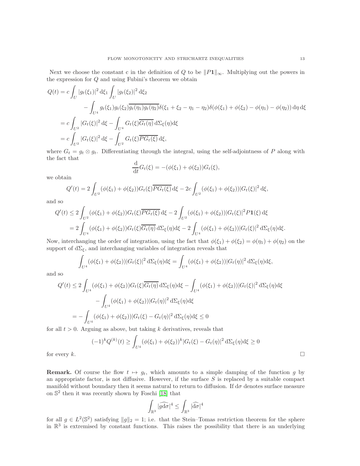Next we choose the constant c in the definition of Q to be  $||P1||_{\infty}$ . Multiplying out the powers in the expression for  $Q$  and using Fubini's theorem we obtain

$$
Q(t) = c \int_U |g_t(\xi_1)|^2 d\xi_1 \int_U |g_t(\xi_2)|^2 d\xi_2
$$
  
\n
$$
- \int_{U^4} g_t(\xi_1) g_t(\xi_2) \overline{g_t(\eta_1) g_t(\eta_2)} \delta(\xi_1 + \xi_2 - \eta_1 - \eta_2) \delta(\phi(\xi_1) + \phi(\xi_2) - \phi(\eta_1) - \phi(\eta_2)) d\eta d\xi
$$
  
\n
$$
= c \int_{U^2} |G_t(\xi)|^2 d\xi - \int_{U^4} G_t(\xi) \overline{G_t(\eta)} d\Sigma_{\xi}(\eta) d\xi
$$
  
\n
$$
= c \int_{U^2} |G_t(\xi)|^2 d\xi - \int_{U^2} G_t(\xi) \overline{PG_t(\xi)} d\xi,
$$

where  $G_t = g_t \otimes g_t$ . Differentiating through the integral, using the self-adjointness of P along with the fact that

$$
\frac{d}{dt}G_t(\xi) = -(\phi(\xi_1) + \phi(\xi_2))G_t(\xi),
$$

we obtain

$$
Q'(t) = 2 \int_{U^2} (\phi(\xi_1) + \phi(\xi_2)) G_t(\xi) \overline{PG_t(\xi)} d\xi - 2c \int_{U^2} (\phi(\xi_1) + \phi(\xi_2)) |G_t(\xi)|^2 d\xi,
$$

and so

$$
Q'(t) \le 2 \int_{U^2} (\phi(\xi_1) + \phi(\xi_2)) G_t(\xi) \overline{PG_t(\xi)} d\xi - 2 \int_{U^2} (\phi(\xi_1) + \phi(\xi_2)) |G_t(\xi)|^2 P_1(\xi) d\xi
$$
  
= 
$$
2 \int_{U^4} (\phi(\xi_1) + \phi(\xi_2)) G_t(\xi) \overline{G_t(\eta)} d\Sigma_{\xi}(\eta) d\xi - 2 \int_{U^4} (\phi(\xi_1) + \phi(\xi_2)) |G_t(\xi)|^2 d\Sigma_{\xi}(\eta) d\xi.
$$

Now, interchanging the order of integration, using the fact that  $\phi(\xi_1) + \phi(\xi_2) = \phi(\eta_1) + \phi(\eta_2)$  on the support of  $d\Sigma_{\xi}$ , and interchanging variables of integration reveals that

$$
\int_{U^4} (\phi(\xi_1) + \phi(\xi_2)) |G_t(\xi)|^2 d\Sigma_{\xi}(\eta) d\xi = \int_{U^4} (\phi(\xi_1) + \phi(\xi_2)) |G_t(\eta)|^2 d\Sigma_{\xi}(\eta) d\xi,
$$

and so

$$
Q'(t) \le 2 \int_{U^4} (\phi(\xi_1) + \phi(\xi_2)) G_t(\xi) \overline{G_t(\eta)} d\Sigma_{\xi}(\eta) d\xi - \int_{U^4} (\phi(\xi_1) + \phi(\xi_2)) |G_t(\xi)|^2 d\Sigma_{\xi}(\eta) d\xi
$$
  

$$
- \int_{U^4} (\phi(\xi_1) + \phi(\xi_2)) |G_t(\eta)|^2 d\Sigma_{\xi}(\eta) d\xi
$$
  

$$
= - \int_{U^4} (\phi(\xi_1) + \phi(\xi_2)) |G_t(\xi) - G_t(\eta)|^2 d\Sigma_{\xi}(\eta) d\xi \le 0
$$

for all  $t > 0$ . Arguing as above, but taking k derivatives, reveals that

$$
(-1)^k Q^{(k)}(t) \ge \int_{U^4} (\phi(\xi_1) + \phi(\xi_2))^k |G_t(\xi) - G_t(\eta)|^2 d\Sigma_{\xi}(\eta) d\xi \ge 0
$$
 for every k.

**Remark.** Of course the flow  $t \mapsto g_t$ , which amounts to a simple damping of the function g by an appropriate factor, is not diffusive. However, if the surface  $S$  is replaced by a suitable compact manifold without boundary then it seems natural to return to diffusion. If  $d\sigma$  denotes surface measure on S 2 then it was recently shown by Foschi [18] that

$$
\int_{\mathbb{R}^3} |\widehat{gd\sigma}|^4 \leq \int_{\mathbb{R}^3} |\widehat{d\sigma}|^4
$$

for all  $g \in L^2(\mathbb{S}^2)$  satisfying  $||g||_2 = 1$ ; i.e. that the Stein–Tomas restriction theorem for the sphere in  $\mathbb{R}^3$  is extremised by constant functions. This raises the possibility that there is an underlying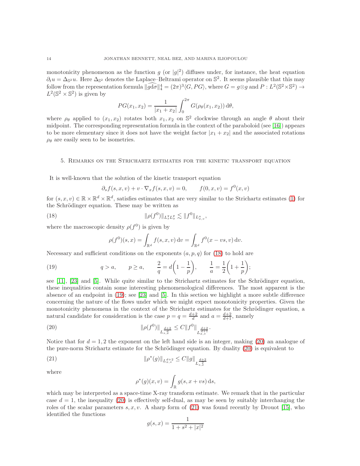monotonicity phenomenon as the function g (or  $|g|^2$ ) diffuses under, for instance, the heat equation  $\partial_t u = \Delta_{\mathbb{S}^2} u$ . Here  $\Delta_{\mathbb{S}^2}$  denotes the Laplace–Beltrami operator on  $\mathbb{S}^2$ . It seems plausible that this may follow from the representation formula  $\|\widehat{gd\sigma}\|_4^4 = (2\pi)^3 \langle G, PG \rangle$ , where  $G = g \otimes g$  and  $P: L^2(\mathbb{S}^2 \times \mathbb{S}^2) \to$  $L^2(\mathbb{S}^2 \times \mathbb{S}^2)$  is given by

$$
PG(x_1, x_2) = \frac{1}{|x_1 + x_2|} \int_0^{2\pi} G(\rho_\theta(x_1, x_2)) d\theta,
$$

where  $\rho_{\theta}$  applied to  $(x_1, x_2)$  rotates both  $x_1, x_2$  on  $\mathbb{S}^2$  clockwise through an angle  $\theta$  about their midpoint. The corresponding representation formula in the context of the paraboloid (see [16]) appears to be more elementary since it does not have the weight factor  $|x_1 + x_2|$  and the associated rotations  $\rho_{\theta}$  are easily seen to be isometries.

#### 5. Remarks on the Strichartz estimates for the kinetic transport equation

It is well-known that the solution of the kinetic transport equation

$$
\partial_s f(s, x, v) + v \cdot \nabla_x f(s, x, v) = 0, \qquad f(0, x, v) = f^0(x, v)
$$

for  $(s, x, v) \in \mathbb{R} \times \mathbb{R}^d \times \mathbb{R}^d$ , satisfies estimates that are very similar to the Strichartz estimates (1) for the Schrödinger equation. These may be written as

(18) 
$$
\|\rho(f^0)\|_{L_x^q L_x^p} \lesssim \|f^0\|_{L_{x,v}^q},
$$

where the macroscopic density  $\rho(f^0)$  is given by

$$
\rho(f^{0})(s,x) = \int_{\mathbb{R}^{d}} f(s,x,v) dv = \int_{\mathbb{R}^{d}} f^{0}(x - vs, v) dv.
$$

Necessary and sufficient conditions on the exponents  $(a, p, q)$  for (18) to hold are

(19) 
$$
q > a
$$
,  $p \ge a$ ,  $\frac{2}{q} = d\left(1 - \frac{1}{p}\right)$ ,  $\frac{1}{a} = \frac{1}{2}\left(1 + \frac{1}{p}\right)$ ;

see  $[11]$ ,  $[23]$  and  $[5]$ . While quite similar to the Strichartz estimates for the Schrödinger equation, these inequalities contain some interesting phenomenological differences. The most apparent is the absence of an endpoint in (19); see [23] and [5]. In this section we highlight a more subtle difference concerning the nature of the flows under which we might expect monotonicity properties. Given the monotonicity phenomena in the context of the Strichartz estimates for the Schrödinger equation, a natural candidate for consideration is the case  $p = q = \frac{d+2}{d}$  and  $a = \frac{d+2}{d+1}$ , namely

(20) 
$$
\|\rho(f^0)\|_{L_{s,x}^{\frac{d+2}{d}}} \leq C \|f^0\|_{L_{x,v}^{\frac{d+2}{d+1}}}.
$$

Notice that for  $d = 1, 2$  the exponent on the left hand side is an integer, making (20) an analogue of the pure-norm Strichartz estimate for the Schrödinger equation. By duality (20) is equivalent to

(21) 
$$
\|\rho^*(g)\|_{L^{d+2}_{x,v}} \leq C \|g\|_{L^{\frac{d+2}{s,x}}_{s,x}}
$$

where

$$
\rho^*(g)(x,v) = \int_{\mathbb{R}} g(s, x + vs) \,ds,
$$

which may be interpreted as a space-time X-ray transform estimate. We remark that in the particular case  $d = 1$ , the inequality (20) is effectively self-dual, as may be seen by suitably interchanging the roles of the scalar parameters  $s, x, v$ . A sharp form of (21) was found recently by Drouot [15], who identified the functions

$$
g(s,x) = \frac{1}{1 + s^2 + |x|^2}
$$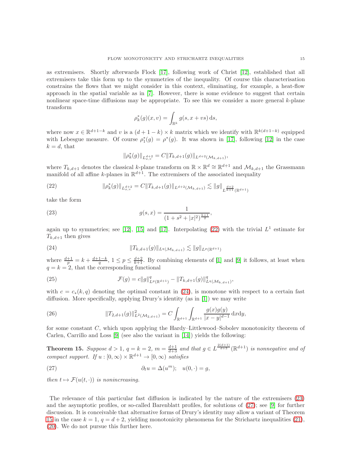as extremisers. Shortly afterwards Flock [17], following work of Christ [12], established that all extremisers take this form up to the symmetries of the inequality. Of course this characterisation constrains the flows that we might consider in this context, eliminating, for example, a heat-flow approach in the spatial variable as in [7]. However, there is some evidence to suggest that certain nonlinear space-time diffusions may be appropriate. To see this we consider a more general k-plane transform

$$
\rho_k^*(g)(x,v) = \int_{\mathbb{R}^k} g(s, x + vs) \, ds,
$$

where now  $x \in \mathbb{R}^{d+1-k}$  and v is a  $(d+1-k) \times k$  matrix which we identify with  $\mathbb{R}^{k(d+1-k)}$  equipped with Lebesgue measure. Of course  $\rho_1^*(g) = \rho^*(g)$ . It was shown in [17], following [12] in the case  $k = d$ , that

$$
\|\rho_k^*(g)\|_{L^{d+2}_{x,v}} = C\|T_{k,d+1}(g)\|_{L^{d+2}(\mathcal{M}_{k,d+1})},
$$

where  $T_{k,d+1}$  denotes the classical k-plane transform on  $\mathbb{R} \times \mathbb{R}^d \cong \mathbb{R}^{d+1}$  and  $\mathcal{M}_{k,d+1}$  the Grassmann manifold of all affine k-planes in  $\mathbb{R}^{d+1}$ . The extremisers of the associated inequality

(22) 
$$
\|\rho_k^*(g)\|_{L_{x,v}^{d+2}} = C\|T_{k,d+1}(g)\|_{L^{d+2}(\mathcal{M}_{k,d+1})} \lesssim \|g\|_{L^{\frac{d+2}{k+1}}(\mathbb{R}^{d+1})}
$$

take the form

(23) 
$$
g(s,x) = \frac{1}{(1+s^2+|x|^2)^{\frac{k+1}{2}}},
$$

again up to symmetries; see [12], [15] and [17]. Interpolating (22) with the trivial  $L^1$  estimate for  $T_{k,d+1}$  then gives

(24) 
$$
||T_{k,d+1}(g)||_{L^q(\mathcal{M}_{k,d+1})} \lesssim ||g||_{L^p(\mathbb{R}^{d+1})}
$$

where  $\frac{d+1}{p} = k + \frac{d+1-k}{q}$ ,  $1 \le p \le \frac{d+2}{k+1}$ . By combining elements of [1] and [9] it follows, at least when  $q = k = 2$ , that the corresponding functional

(25) 
$$
\mathcal{F}(g) = c||g||_{L^p(\mathbb{R}^{d+1})}^q - ||T_{k,d+1}(g)||_{L^q(\mathcal{M}_{k,d+1})}^q,
$$

with  $c = c_*(k, q)$  denoting the optimal constant in (24), is monotone with respect to a certain fast diffusion. More specifically, applying Drury's identity (as in [1]) we may write

(26) 
$$
||T_{2,d+1}(g)||_{L^2(\mathcal{M}_{2,d+1})}^2 = C \int_{\mathbb{R}^{d+1}} \int_{\mathbb{R}^{d+1}} \frac{g(x)g(y)}{|x-y|^{d-1}} \,dxdy,
$$

for some constant C, which upon applying the Hardy–Littlewood–Sobolev monotonicity theorem of Carlen, Carrillo and Loss [9] (see also the variant in [14]) yields the following:

**Theorem 15.** Suppose  $d > 1$ ,  $q = k = 2$ ,  $m = \frac{d+1}{d+3}$  and that  $g \in L^{\frac{2(d+1)}{d+3}}(\mathbb{R}^{d+1})$  is nonnegative and of compact support. If  $u : [0, \infty) \times \mathbb{R}^{d+1} \to [0, \infty)$  satisfies

(27) 
$$
\partial_t u = \Delta(u^m); \quad u(0, \cdot) = g,
$$

then  $t \mapsto \mathcal{F}(u(t, \cdot))$  is nonincreasing.

The relevance of this particular fast diffusion is indicated by the nature of the extremisers (23) and the asymptotic profiles, or so-called Barenblatt profiles, for solutions of (27); see [9] for further discussion. It is conceivable that alternative forms of Drury's identity may allow a variant of Theorem 15 in the case  $k = 1, q = d + 2$ , yielding monotonicity phenomena for the Strichartz inequalities (21), (20). We do not pursue this further here.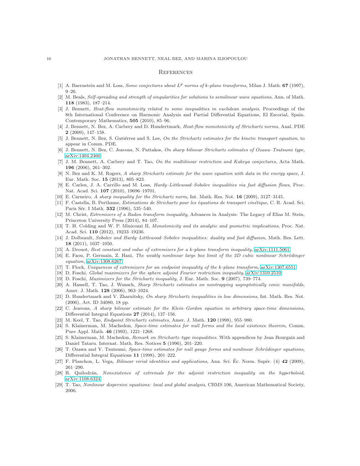#### **REFERENCES**

- [1] A. Baernstein and M. Loss, Some conjectures about  $L^p$  norms of k-plane transforms, Milan J. Math. 67 (1997), 9–26.
- [2] M. Beals, Self-spreading and strength of singularities for solutions to semilinear wave equations, Ann. of Math. 118 (1983), 187–214.
- [3] J. Bennett, Heat-flow monotonicity related to some inequalities in euclidean analysis, Proceedings of the 8th International Conference on Harmonic Analysis and Partial Differential Equations, El Escorial, Spain. Contemporary Mathematics, 505 (2010), 85–96.
- [4] J. Bennett, N. Bez, A. Carbery and D. Hundertmark, Heat-flow monotonicity of Strichartz norms, Anal. PDE 2 (2009), 147–158.
- [5] J. Bennett, N. Bez, S. Gutiérrez and S. Lee, On the Strichartz estimates for the kinetic transport equation, to appear in Comm. PDE.
- [6] J. Bennett, N. Bez, C. Jeavons, N. Pattakos, On sharp bilinear Strichartz estimates of Ozawa–Tsutsumi type, [arXiv:1404.2466.](http://arxiv.org/abs/1404.2466)
- [7] J. M. Bennett, A. Carbery and T. Tao, On the multilinear restriction and Kakeya conjectures, Acta Math. 196 (2006), 261–302.
- [8] N. Bez and K. M. Rogers, A sharp Strichartz estimate for the wave equation with data in the energy space, J. Eur. Math. Soc. 15 (2013), 805–823.
- [9] E. Carlen, J. A. Carrillo and M. Loss, Hardy–Littlewood–Sobolev inequalities via fast diffusion flows, Proc. Nat. Acad. Sci. 107 (2010), 19696–19701.
- [10] E. Carneiro, A sharp inequality for the Strichartz norm, Int. Math. Res. Not. 16 (2009), 3127–3145.
- [11] F. Castella, B. Perthame, *Estimations de Strichartz pour les èquations de transport cinétique*, C. R. Acad. Sci. Paris Sér. I Math. 332 (1996), 535–540.
- [12] M. Christ, Extremizers of a Radon transform inequality, Advances in Analysis: The Legacy of Elias M. Stein, Princeton University Press (2014), 84–107.
- [13] T. H. Colding and W. P. Minicozzi II, Monotonicity and its analytic and geometric implications, Proc. Nat. Acad. Sci. 110 (2012), 19233–19236.
- [14] J. Dolbeault, Sobolev and Hardy–Littlewood–Sobolev inequalities: duality and fast diffusion, Math. Res. Lett. 18 (2011), 1037–1050.
- [15] A. Drouot, Best constant and value of extremizers for a k-plane transform inequality, [arXiv:1111.5061.](http://arxiv.org/abs/1111.5061)
- [16] E. Faou, P. Germain, Z. Hani, The weakly nonlinear large box limit of the 2D cubic nonlinear Schrödinger equation, [arXiv:1308.6267.](http://arxiv.org/abs/1308.6267)
- [17] T. Flock, Uniqueness of extremizers for an endpoint inequality of the k-plane transform, [arXiv:1307.6551.](http://arxiv.org/abs/1307.6551)
- [18] D. Foschi, Global maximizers for the sphere adjoint Fourier restriction inequality, [arXiv:1310.2510.](http://arxiv.org/abs/1310.2510)
- [19] D. Foschi, Maximizers for the Strichartz inequality, J. Eur. Math. Soc. 9 (2007), 739–774.
- [20] A. Hassell, T. Tao, J. Wunsch, Sharp Strichartz estimates on nontrapping asymptotically conic manifolds, Amer. J. Math. 128 (2006), 963–1024.
- [21] D. Hundertmark and V. Zharnitsky, On sharp Strichartz inequalities in low dimensions, Int. Math. Res. Not. (2006), Art. ID 34080, 18 pp.
- [22] C. Jeavons, A sharp bilinear estimate for the Klein–Gordon equation in arbitrary space-time dimensions, Differential Integral Equations 27 (2014), 137–156.
- [23] M. Keel, T. Tao, *Endpoint Strichartz estimates*, Amer. J. Math. **120** (1998), 955–980.
- [24] S. Klainerman, M. Machedon, Space-time estimates for null forms and the local existence theorem, Comm. Pure Appl. Math. 46 (1993), 1221–1268.
- [25] S. Klainerman, M. Machedon, Remark on Strichartz-type inequalities. With appendices by Jean Bourgain and Daniel Tataru. Internat. Math. Res. Notices 5 (1996), 201–220.
- [26] T. Ozawa and Y. Tsutsumi, Space-time estimates for null gauge forms and nonlinear Schrödinger equations, Differential Integral Equations 11 (1998), 201–222.
- [27] F. Planchon, L. Vega, *Bilinear virial identities and applications*, Ann. Sci. Éc. Norm. Supér. (4)  $42$  (2009), 261–290.
- [28] R. Quilodrán, Nonexistence of extremals for the adjoint restriction inequality on the hyperboloid, [arXiv:1108.6324.](http://arxiv.org/abs/1108.6324)
- [29] T. Tao, Nonlinear dispersive equations: local and global analysis, CBMS 106, American Mathematical Society, 2006.